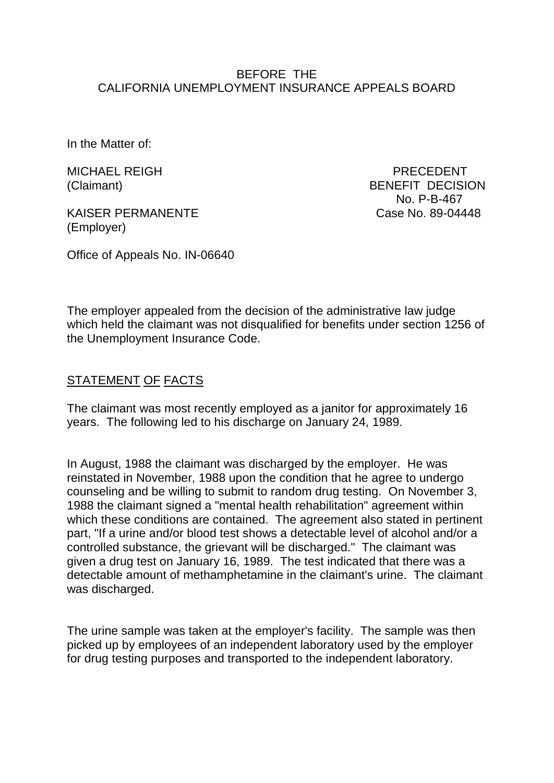### BEFORE THE CALIFORNIA UNEMPLOYMENT INSURANCE APPEALS BOARD

In the Matter of:

MICHAEL REIGH PRECEDENT

KAISER PERMANENTE Case No. 89-04448 (Employer)

(Claimant) BENEFIT DECISION No. P-B-467

Office of Appeals No. IN-06640

The employer appealed from the decision of the administrative law judge which held the claimant was not disqualified for benefits under section 1256 of the Unemployment Insurance Code.

## STATEMENT OF FACTS

The claimant was most recently employed as a janitor for approximately 16 years. The following led to his discharge on January 24, 1989.

In August, 1988 the claimant was discharged by the employer. He was reinstated in November, 1988 upon the condition that he agree to undergo counseling and be willing to submit to random drug testing. On November 3, 1988 the claimant signed a "mental health rehabilitation" agreement within which these conditions are contained. The agreement also stated in pertinent part, "If a urine and/or blood test shows a detectable level of alcohol and/or a controlled substance, the grievant will be discharged." The claimant was given a drug test on January 16, 1989. The test indicated that there was a detectable amount of methamphetamine in the claimant's urine. The claimant was discharged.

The urine sample was taken at the employer's facility. The sample was then picked up by employees of an independent laboratory used by the employer for drug testing purposes and transported to the independent laboratory.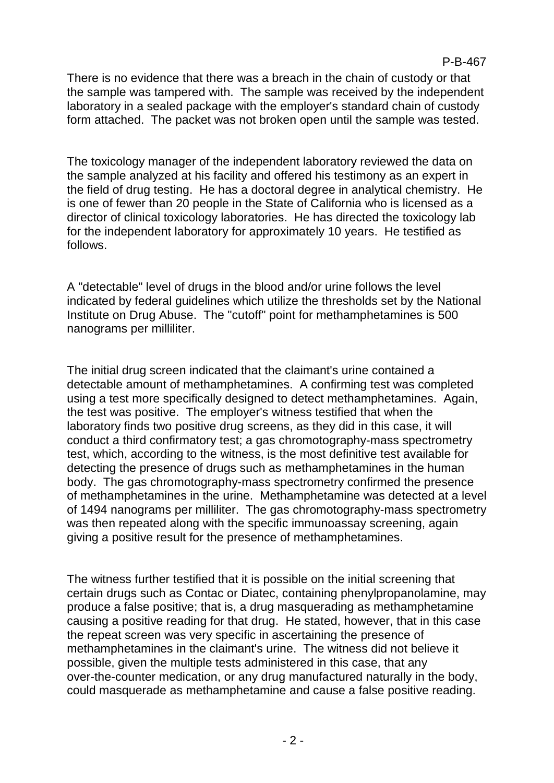### P-B-467

There is no evidence that there was a breach in the chain of custody or that the sample was tampered with. The sample was received by the independent laboratory in a sealed package with the employer's standard chain of custody form attached. The packet was not broken open until the sample was tested.

The toxicology manager of the independent laboratory reviewed the data on the sample analyzed at his facility and offered his testimony as an expert in the field of drug testing. He has a doctoral degree in analytical chemistry. He is one of fewer than 20 people in the State of California who is licensed as a director of clinical toxicology laboratories. He has directed the toxicology lab for the independent laboratory for approximately 10 years. He testified as follows.

A "detectable" level of drugs in the blood and/or urine follows the level indicated by federal guidelines which utilize the thresholds set by the National Institute on Drug Abuse. The "cutoff" point for methamphetamines is 500 nanograms per milliliter.

The initial drug screen indicated that the claimant's urine contained a detectable amount of methamphetamines. A confirming test was completed using a test more specifically designed to detect methamphetamines. Again, the test was positive. The employer's witness testified that when the laboratory finds two positive drug screens, as they did in this case, it will conduct a third confirmatory test; a gas chromotography-mass spectrometry test, which, according to the witness, is the most definitive test available for detecting the presence of drugs such as methamphetamines in the human body. The gas chromotography-mass spectrometry confirmed the presence of methamphetamines in the urine. Methamphetamine was detected at a level of 1494 nanograms per milliliter. The gas chromotography-mass spectrometry was then repeated along with the specific immunoassay screening, again giving a positive result for the presence of methamphetamines.

The witness further testified that it is possible on the initial screening that certain drugs such as Contac or Diatec, containing phenylpropanolamine, may produce a false positive; that is, a drug masquerading as methamphetamine causing a positive reading for that drug. He stated, however, that in this case the repeat screen was very specific in ascertaining the presence of methamphetamines in the claimant's urine. The witness did not believe it possible, given the multiple tests administered in this case, that any over-the-counter medication, or any drug manufactured naturally in the body, could masquerade as methamphetamine and cause a false positive reading.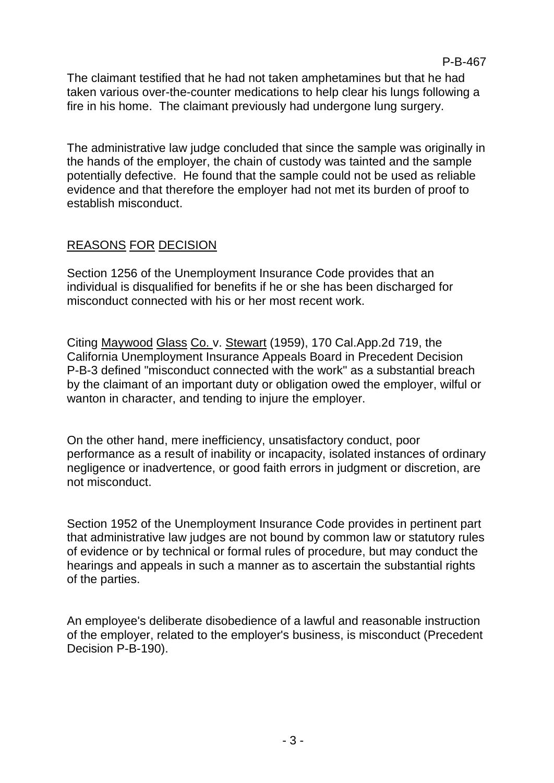The claimant testified that he had not taken amphetamines but that he had taken various over-the-counter medications to help clear his lungs following a fire in his home. The claimant previously had undergone lung surgery.

The administrative law judge concluded that since the sample was originally in the hands of the employer, the chain of custody was tainted and the sample potentially defective. He found that the sample could not be used as reliable evidence and that therefore the employer had not met its burden of proof to establish misconduct.

# REASONS FOR DECISION

Section 1256 of the Unemployment Insurance Code provides that an individual is disqualified for benefits if he or she has been discharged for misconduct connected with his or her most recent work.

Citing Maywood Glass Co. v. Stewart (1959), 170 Cal.App.2d 719, the California Unemployment Insurance Appeals Board in Precedent Decision P-B-3 defined "misconduct connected with the work" as a substantial breach by the claimant of an important duty or obligation owed the employer, wilful or wanton in character, and tending to injure the employer.

On the other hand, mere inefficiency, unsatisfactory conduct, poor performance as a result of inability or incapacity, isolated instances of ordinary negligence or inadvertence, or good faith errors in judgment or discretion, are not misconduct.

Section 1952 of the Unemployment Insurance Code provides in pertinent part that administrative law judges are not bound by common law or statutory rules of evidence or by technical or formal rules of procedure, but may conduct the hearings and appeals in such a manner as to ascertain the substantial rights of the parties.

An employee's deliberate disobedience of a lawful and reasonable instruction of the employer, related to the employer's business, is misconduct (Precedent Decision P-B-190).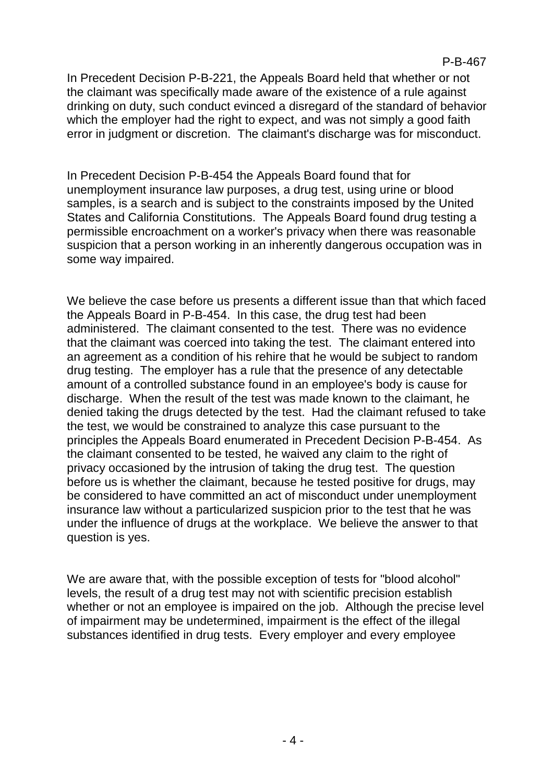In Precedent Decision P-B-221, the Appeals Board held that whether or not the claimant was specifically made aware of the existence of a rule against drinking on duty, such conduct evinced a disregard of the standard of behavior which the employer had the right to expect, and was not simply a good faith error in judgment or discretion. The claimant's discharge was for misconduct.

In Precedent Decision P-B-454 the Appeals Board found that for unemployment insurance law purposes, a drug test, using urine or blood samples, is a search and is subject to the constraints imposed by the United States and California Constitutions. The Appeals Board found drug testing a permissible encroachment on a worker's privacy when there was reasonable suspicion that a person working in an inherently dangerous occupation was in some way impaired.

We believe the case before us presents a different issue than that which faced the Appeals Board in P-B-454. In this case, the drug test had been administered. The claimant consented to the test. There was no evidence that the claimant was coerced into taking the test. The claimant entered into an agreement as a condition of his rehire that he would be subject to random drug testing. The employer has a rule that the presence of any detectable amount of a controlled substance found in an employee's body is cause for discharge. When the result of the test was made known to the claimant, he denied taking the drugs detected by the test. Had the claimant refused to take the test, we would be constrained to analyze this case pursuant to the principles the Appeals Board enumerated in Precedent Decision P-B-454. As the claimant consented to be tested, he waived any claim to the right of privacy occasioned by the intrusion of taking the drug test. The question before us is whether the claimant, because he tested positive for drugs, may be considered to have committed an act of misconduct under unemployment insurance law without a particularized suspicion prior to the test that he was under the influence of drugs at the workplace. We believe the answer to that question is yes.

We are aware that, with the possible exception of tests for "blood alcohol" levels, the result of a drug test may not with scientific precision establish whether or not an employee is impaired on the job. Although the precise level of impairment may be undetermined, impairment is the effect of the illegal substances identified in drug tests. Every employer and every employee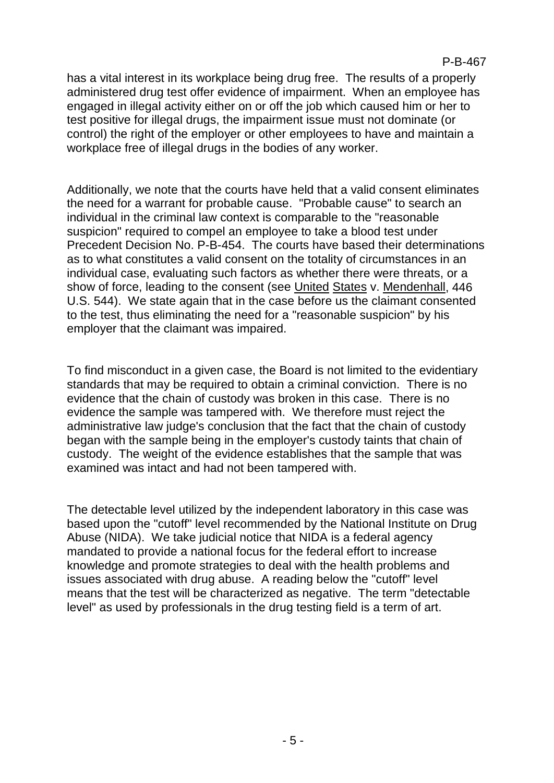has a vital interest in its workplace being drug free. The results of a properly administered drug test offer evidence of impairment. When an employee has engaged in illegal activity either on or off the job which caused him or her to test positive for illegal drugs, the impairment issue must not dominate (or control) the right of the employer or other employees to have and maintain a workplace free of illegal drugs in the bodies of any worker.

Additionally, we note that the courts have held that a valid consent eliminates the need for a warrant for probable cause. "Probable cause" to search an individual in the criminal law context is comparable to the "reasonable suspicion" required to compel an employee to take a blood test under Precedent Decision No. P-B-454. The courts have based their determinations as to what constitutes a valid consent on the totality of circumstances in an individual case, evaluating such factors as whether there were threats, or a show of force, leading to the consent (see United States v. Mendenhall, 446 U.S. 544). We state again that in the case before us the claimant consented to the test, thus eliminating the need for a "reasonable suspicion" by his employer that the claimant was impaired.

To find misconduct in a given case, the Board is not limited to the evidentiary standards that may be required to obtain a criminal conviction. There is no evidence that the chain of custody was broken in this case. There is no evidence the sample was tampered with. We therefore must reject the administrative law judge's conclusion that the fact that the chain of custody began with the sample being in the employer's custody taints that chain of custody. The weight of the evidence establishes that the sample that was examined was intact and had not been tampered with.

The detectable level utilized by the independent laboratory in this case was based upon the "cutoff" level recommended by the National Institute on Drug Abuse (NIDA). We take judicial notice that NIDA is a federal agency mandated to provide a national focus for the federal effort to increase knowledge and promote strategies to deal with the health problems and issues associated with drug abuse. A reading below the "cutoff" level means that the test will be characterized as negative. The term "detectable level" as used by professionals in the drug testing field is a term of art.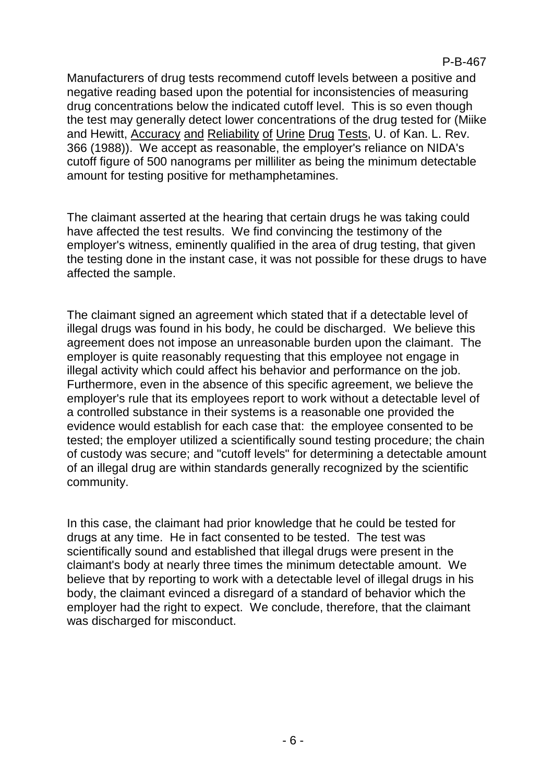Manufacturers of drug tests recommend cutoff levels between a positive and negative reading based upon the potential for inconsistencies of measuring drug concentrations below the indicated cutoff level. This is so even though the test may generally detect lower concentrations of the drug tested for (Miike and Hewitt, Accuracy and Reliability of Urine Drug Tests, U. of Kan. L. Rev. 366 (1988)). We accept as reasonable, the employer's reliance on NIDA's cutoff figure of 500 nanograms per milliliter as being the minimum detectable amount for testing positive for methamphetamines.

The claimant asserted at the hearing that certain drugs he was taking could have affected the test results. We find convincing the testimony of the employer's witness, eminently qualified in the area of drug testing, that given the testing done in the instant case, it was not possible for these drugs to have affected the sample.

The claimant signed an agreement which stated that if a detectable level of illegal drugs was found in his body, he could be discharged. We believe this agreement does not impose an unreasonable burden upon the claimant. The employer is quite reasonably requesting that this employee not engage in illegal activity which could affect his behavior and performance on the job. Furthermore, even in the absence of this specific agreement, we believe the employer's rule that its employees report to work without a detectable level of a controlled substance in their systems is a reasonable one provided the evidence would establish for each case that: the employee consented to be tested; the employer utilized a scientifically sound testing procedure; the chain of custody was secure; and "cutoff levels" for determining a detectable amount of an illegal drug are within standards generally recognized by the scientific community.

In this case, the claimant had prior knowledge that he could be tested for drugs at any time. He in fact consented to be tested. The test was scientifically sound and established that illegal drugs were present in the claimant's body at nearly three times the minimum detectable amount. We believe that by reporting to work with a detectable level of illegal drugs in his body, the claimant evinced a disregard of a standard of behavior which the employer had the right to expect. We conclude, therefore, that the claimant was discharged for misconduct.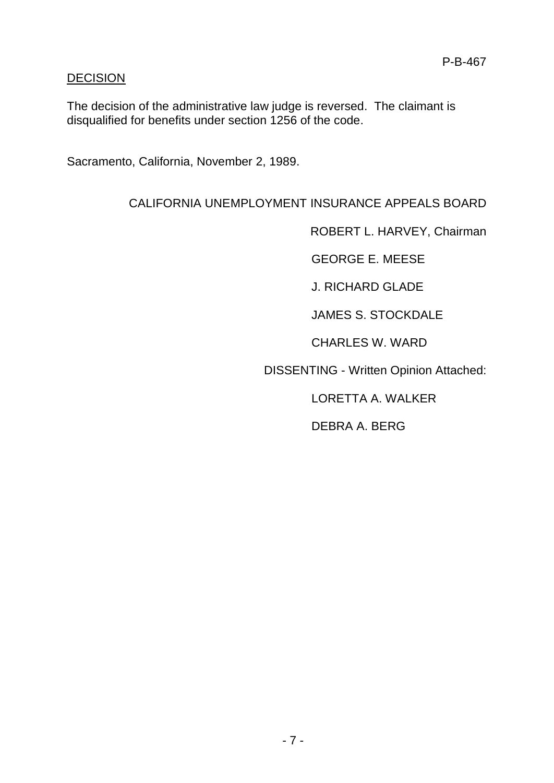## **DECISION**

The decision of the administrative law judge is reversed. The claimant is disqualified for benefits under section 1256 of the code.

Sacramento, California, November 2, 1989.

## CALIFORNIA UNEMPLOYMENT INSURANCE APPEALS BOARD

ROBERT L. HARVEY, Chairman

GEORGE E. MEESE

J. RICHARD GLADE

JAMES S. STOCKDALE

CHARLES W. WARD

DISSENTING - Written Opinion Attached:

LORETTA A. WALKER

DEBRA A. BERG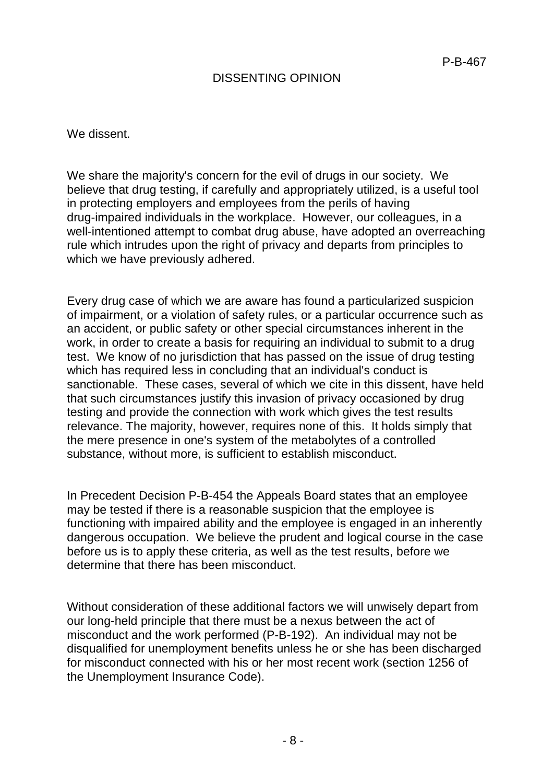## DISSENTING OPINION

We dissent.

We share the majority's concern for the evil of drugs in our society. We believe that drug testing, if carefully and appropriately utilized, is a useful tool in protecting employers and employees from the perils of having drug-impaired individuals in the workplace. However, our colleagues, in a well-intentioned attempt to combat drug abuse, have adopted an overreaching rule which intrudes upon the right of privacy and departs from principles to which we have previously adhered.

Every drug case of which we are aware has found a particularized suspicion of impairment, or a violation of safety rules, or a particular occurrence such as an accident, or public safety or other special circumstances inherent in the work, in order to create a basis for requiring an individual to submit to a drug test. We know of no jurisdiction that has passed on the issue of drug testing which has required less in concluding that an individual's conduct is sanctionable. These cases, several of which we cite in this dissent, have held that such circumstances justify this invasion of privacy occasioned by drug testing and provide the connection with work which gives the test results relevance. The majority, however, requires none of this. It holds simply that the mere presence in one's system of the metabolytes of a controlled substance, without more, is sufficient to establish misconduct.

In Precedent Decision P-B-454 the Appeals Board states that an employee may be tested if there is a reasonable suspicion that the employee is functioning with impaired ability and the employee is engaged in an inherently dangerous occupation. We believe the prudent and logical course in the case before us is to apply these criteria, as well as the test results, before we determine that there has been misconduct.

Without consideration of these additional factors we will unwisely depart from our long-held principle that there must be a nexus between the act of misconduct and the work performed (P-B-192). An individual may not be disqualified for unemployment benefits unless he or she has been discharged for misconduct connected with his or her most recent work (section 1256 of the Unemployment Insurance Code).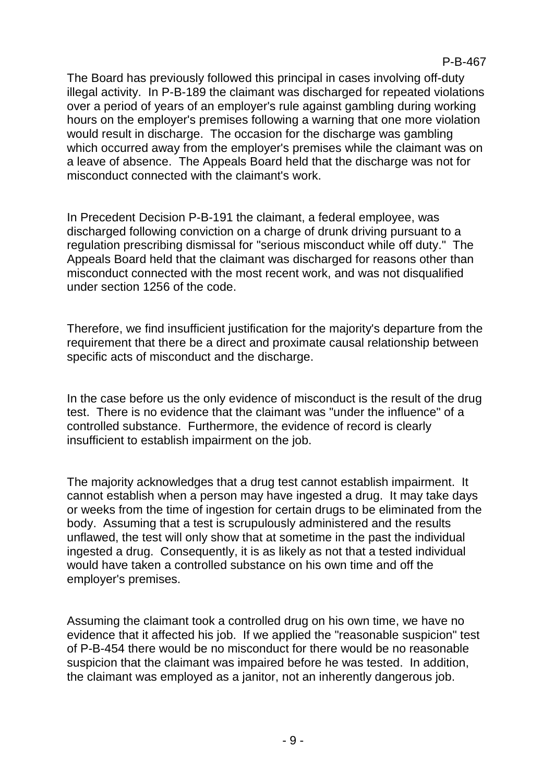The Board has previously followed this principal in cases involving off-duty illegal activity. In P-B-189 the claimant was discharged for repeated violations over a period of years of an employer's rule against gambling during working hours on the employer's premises following a warning that one more violation would result in discharge. The occasion for the discharge was gambling which occurred away from the employer's premises while the claimant was on a leave of absence. The Appeals Board held that the discharge was not for misconduct connected with the claimant's work.

In Precedent Decision P-B-191 the claimant, a federal employee, was discharged following conviction on a charge of drunk driving pursuant to a regulation prescribing dismissal for "serious misconduct while off duty." The Appeals Board held that the claimant was discharged for reasons other than misconduct connected with the most recent work, and was not disqualified under section 1256 of the code.

Therefore, we find insufficient justification for the majority's departure from the requirement that there be a direct and proximate causal relationship between specific acts of misconduct and the discharge.

In the case before us the only evidence of misconduct is the result of the drug test. There is no evidence that the claimant was "under the influence" of a controlled substance. Furthermore, the evidence of record is clearly insufficient to establish impairment on the job.

The majority acknowledges that a drug test cannot establish impairment. It cannot establish when a person may have ingested a drug. It may take days or weeks from the time of ingestion for certain drugs to be eliminated from the body. Assuming that a test is scrupulously administered and the results unflawed, the test will only show that at sometime in the past the individual ingested a drug. Consequently, it is as likely as not that a tested individual would have taken a controlled substance on his own time and off the employer's premises.

Assuming the claimant took a controlled drug on his own time, we have no evidence that it affected his job. If we applied the "reasonable suspicion" test of P-B-454 there would be no misconduct for there would be no reasonable suspicion that the claimant was impaired before he was tested. In addition, the claimant was employed as a janitor, not an inherently dangerous job.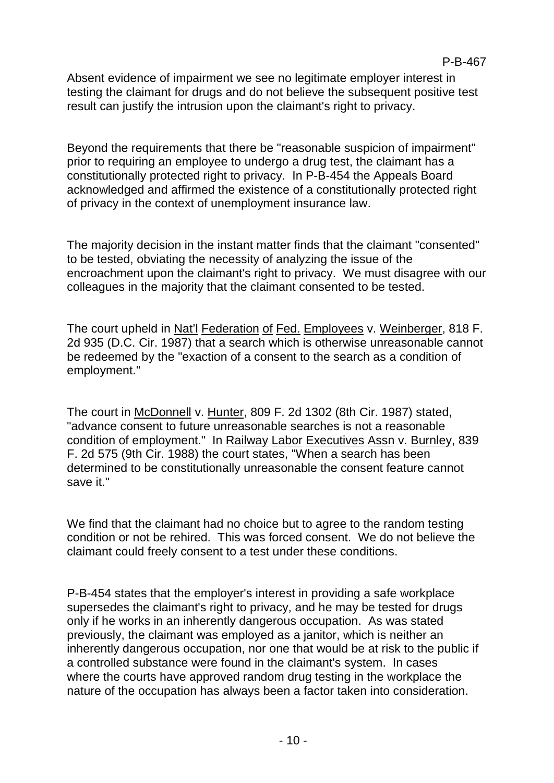Absent evidence of impairment we see no legitimate employer interest in testing the claimant for drugs and do not believe the subsequent positive test result can justify the intrusion upon the claimant's right to privacy.

Beyond the requirements that there be "reasonable suspicion of impairment" prior to requiring an employee to undergo a drug test, the claimant has a constitutionally protected right to privacy. In P-B-454 the Appeals Board acknowledged and affirmed the existence of a constitutionally protected right of privacy in the context of unemployment insurance law.

The majority decision in the instant matter finds that the claimant "consented" to be tested, obviating the necessity of analyzing the issue of the encroachment upon the claimant's right to privacy. We must disagree with our colleagues in the majority that the claimant consented to be tested.

The court upheld in Nat'l Federation of Fed. Employees v. Weinberger, 818 F. 2d 935 (D.C. Cir. 1987) that a search which is otherwise unreasonable cannot be redeemed by the "exaction of a consent to the search as a condition of employment."

The court in McDonnell v. Hunter, 809 F. 2d 1302 (8th Cir. 1987) stated, "advance consent to future unreasonable searches is not a reasonable condition of employment." In Railway Labor Executives Assn v. Burnley, 839 F. 2d 575 (9th Cir. 1988) the court states, "When a search has been determined to be constitutionally unreasonable the consent feature cannot save it."

We find that the claimant had no choice but to agree to the random testing condition or not be rehired. This was forced consent. We do not believe the claimant could freely consent to a test under these conditions.

P-B-454 states that the employer's interest in providing a safe workplace supersedes the claimant's right to privacy, and he may be tested for drugs only if he works in an inherently dangerous occupation. As was stated previously, the claimant was employed as a janitor, which is neither an inherently dangerous occupation, nor one that would be at risk to the public if a controlled substance were found in the claimant's system. In cases where the courts have approved random drug testing in the workplace the nature of the occupation has always been a factor taken into consideration.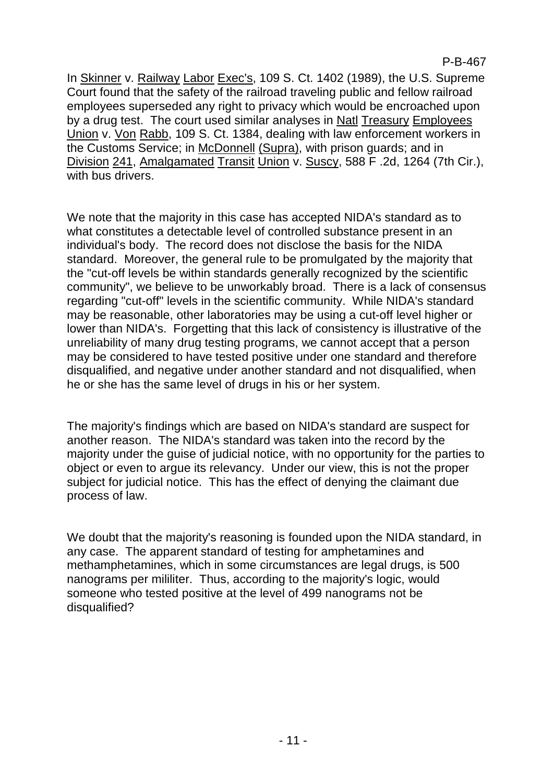P-B-467

In Skinner v. Railway Labor Exec's, 109 S. Ct. 1402 (1989), the U.S. Supreme Court found that the safety of the railroad traveling public and fellow railroad employees superseded any right to privacy which would be encroached upon by a drug test. The court used similar analyses in Natl Treasury Employees Union v. Von Rabb, 109 S. Ct. 1384, dealing with law enforcement workers in the Customs Service; in McDonnell (Supra), with prison guards; and in Division 241, Amalgamated Transit Union v. Suscy, 588 F .2d, 1264 (7th Cir.), with bus drivers.

We note that the majority in this case has accepted NIDA's standard as to what constitutes a detectable level of controlled substance present in an individual's body. The record does not disclose the basis for the NIDA standard. Moreover, the general rule to be promulgated by the majority that the "cut-off levels be within standards generally recognized by the scientific community", we believe to be unworkably broad. There is a lack of consensus regarding "cut-off" levels in the scientific community. While NIDA's standard may be reasonable, other laboratories may be using a cut-off level higher or lower than NIDA's. Forgetting that this lack of consistency is illustrative of the unreliability of many drug testing programs, we cannot accept that a person may be considered to have tested positive under one standard and therefore disqualified, and negative under another standard and not disqualified, when he or she has the same level of drugs in his or her system.

The majority's findings which are based on NIDA's standard are suspect for another reason. The NIDA's standard was taken into the record by the majority under the guise of judicial notice, with no opportunity for the parties to object or even to argue its relevancy. Under our view, this is not the proper subject for judicial notice. This has the effect of denying the claimant due process of law.

We doubt that the majority's reasoning is founded upon the NIDA standard, in any case. The apparent standard of testing for amphetamines and methamphetamines, which in some circumstances are legal drugs, is 500 nanograms per mililiter. Thus, according to the majority's logic, would someone who tested positive at the level of 499 nanograms not be disqualified?